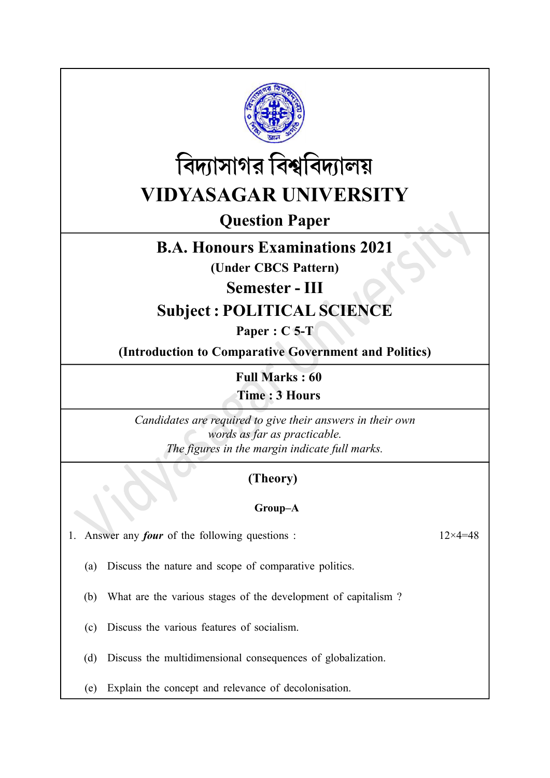



Question Paper

## B.A. Honours Examinations 2021

(Under CBCS Pattern)

Semester - III

# Subject : POLITICAL SCIENCE

Paper : C<sub>5</sub>-T

(Introduction to Comparative Government and Politics)

Full Marks : 60

Time : 3 Hours

Candidates are required to give their answers in their own words as far as practicable. The figures in the margin indicate full marks.

### (Theory)

### Group–A

1. Answer any *four* of the following questions :  $12 \times 4 = 48$ 

(a) Discuss the nature and scope of comparative politics.

(b) What are the various stages of the development of capitalism ?

- (c) Discuss the various features of socialism.
- (d) Discuss the multidimensional consequences of globalization.
- (e) Explain the concept and relevance of decolonisation.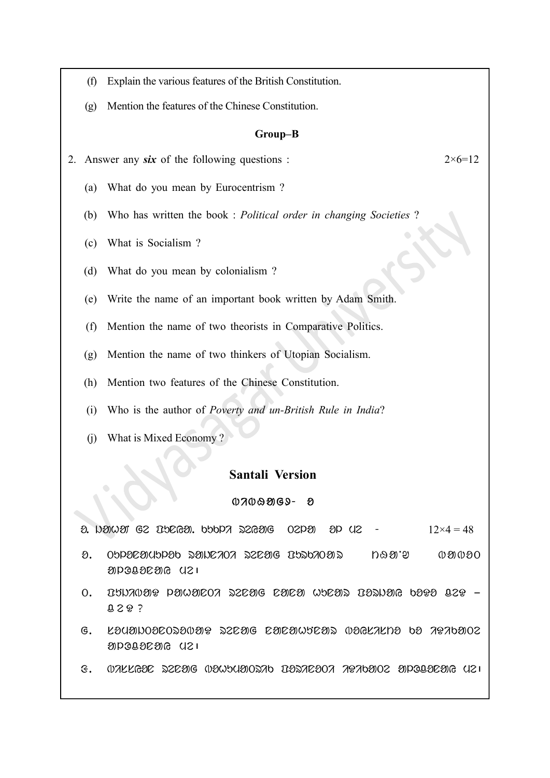- (f) Explain the various features of the British Constitution.
- (g) Mention the features of the Chinese Constitution.

#### Group–B

2. Answer any six of the following questions :  $2 \times 6 = 12$ 

- (a) What do you mean by Eurocentrism ?
- (b) Who has written the book : Political order in changing Societies ?
- (c) What is Socialism ?
- (d) What do you mean by colonialism ?
- (e) Write the name of an important book written by Adam Smith.
- (f) Mention the name of two theorists in Comparative Politics.
- (g) Mention the name of two thinkers of Utopian Socialism.
- (h) Mention two features of the Chinese Constitution.
- (i) Who is the author of Poverty and un-British Rule in India?
- (j) What is Mixed Economy ?

#### Santali Version

#### $0700909 - 8$

 $\partial$ . indicating the Bundal section of  $\partial$  and  $\partial P$  and  $\partial P$  is  $12 \times 4 = 48$ 

- $\Omega$ . Oppersyupped Rencent Renage BurkiTa r tha  $\mathfrak{g}$  is a new poor apone da
- $0.$  DUNAOUR PUWHEOA SZEHG EHEH WOEHS BISNIG 6999 BZG  $0.29$  ?
- $G.$  Layahoacosa $0$ ar szca $G$  cacawacas  $0$ agkana ba  $79$ ada $02$ apogaeara (121
- $f_1$  .  $\alpha$ ik kato bokata bohumatrik borok borok alocona  $\alpha$  is  $\alpha$